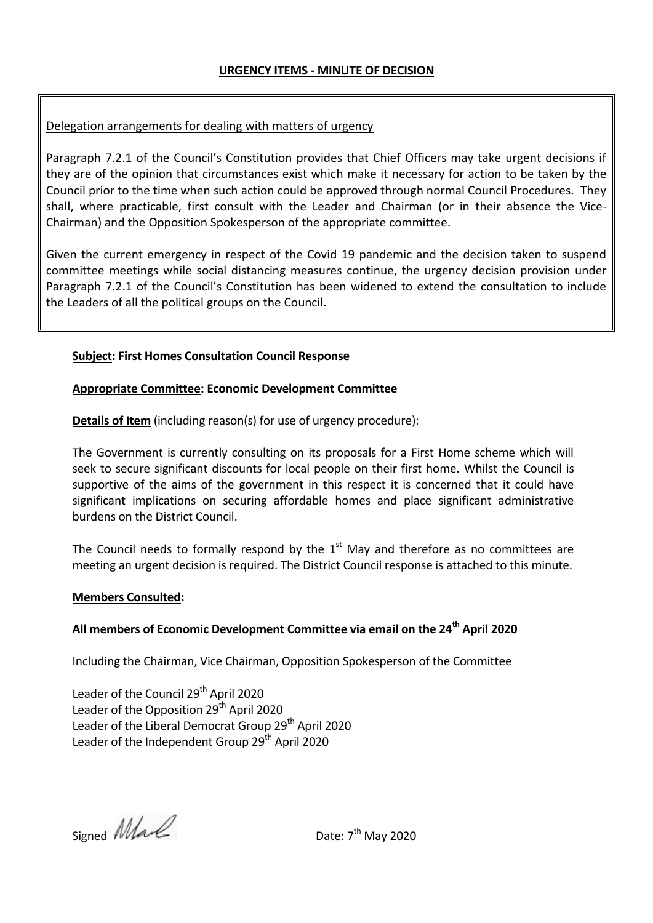## Delegation arrangements for dealing with matters of urgency

Paragraph 7.2.1 of the Council's Constitution provides that Chief Officers may take urgent decisions if they are of the opinion that circumstances exist which make it necessary for action to be taken by the Council prior to the time when such action could be approved through normal Council Procedures. They shall, where practicable, first consult with the Leader and Chairman (or in their absence the Vice-Chairman) and the Opposition Spokesperson of the appropriate committee.

Given the current emergency in respect of the Covid 19 pandemic and the decision taken to suspend committee meetings while social distancing measures continue, the urgency decision provision under Paragraph 7.2.1 of the Council's Constitution has been widened to extend the consultation to include the Leaders of all the political groups on the Council.

### **Subject: First Homes Consultation Council Response**

#### **Appropriate Committee: Economic Development Committee**

**Details of Item** (including reason(s) for use of urgency procedure):

The Government is currently consulting on its proposals for a First Home scheme which will seek to secure significant discounts for local people on their first home. Whilst the Council is supportive of the aims of the government in this respect it is concerned that it could have significant implications on securing affordable homes and place significant administrative burdens on the District Council.

The Council needs to formally respond by the  $1<sup>st</sup>$  May and therefore as no committees are meeting an urgent decision is required. The District Council response is attached to this minute.

#### **Members Consulted:**

# **All members of Economic Development Committee via email on the 24th April 2020**

Including the Chairman, Vice Chairman, Opposition Spokesperson of the Committee

Leader of the Council 29<sup>th</sup> April 2020 Leader of the Opposition  $29<sup>th</sup>$  April 2020 Leader of the Liberal Democrat Group  $29<sup>th</sup>$  April 2020 Leader of the Independent Group 29<sup>th</sup> April 2020

Signed *Mark* 

Date:  $7^{th}$  May 2020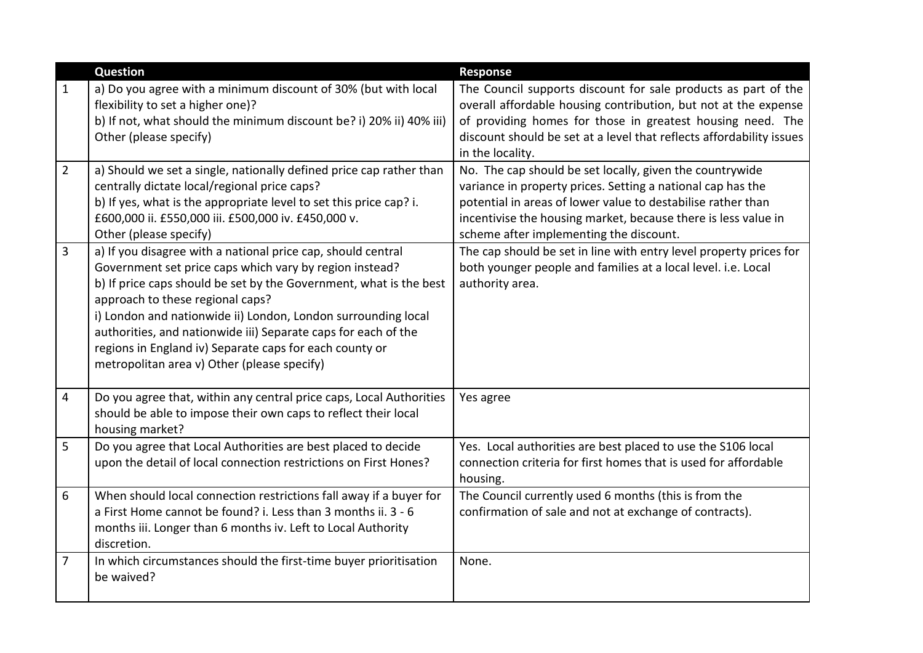|                | <b>Question</b>                                                                                                                                                                                                                                                                                                                                                                                                                                                                | <b>Response</b>                                                                                                                                                                                                                                                                                      |
|----------------|--------------------------------------------------------------------------------------------------------------------------------------------------------------------------------------------------------------------------------------------------------------------------------------------------------------------------------------------------------------------------------------------------------------------------------------------------------------------------------|------------------------------------------------------------------------------------------------------------------------------------------------------------------------------------------------------------------------------------------------------------------------------------------------------|
| $\mathbf{1}$   | a) Do you agree with a minimum discount of 30% (but with local<br>flexibility to set a higher one)?<br>b) If not, what should the minimum discount be? i) 20% ii) 40% iii)<br>Other (please specify)                                                                                                                                                                                                                                                                           | The Council supports discount for sale products as part of the<br>overall affordable housing contribution, but not at the expense<br>of providing homes for those in greatest housing need. The<br>discount should be set at a level that reflects affordability issues<br>in the locality.          |
| $\overline{2}$ | a) Should we set a single, nationally defined price cap rather than<br>centrally dictate local/regional price caps?<br>b) If yes, what is the appropriate level to set this price cap? i.<br>£600,000 ii. £550,000 iii. £500,000 iv. £450,000 v.<br>Other (please specify)                                                                                                                                                                                                     | No. The cap should be set locally, given the countrywide<br>variance in property prices. Setting a national cap has the<br>potential in areas of lower value to destabilise rather than<br>incentivise the housing market, because there is less value in<br>scheme after implementing the discount. |
| $\overline{3}$ | a) If you disagree with a national price cap, should central<br>Government set price caps which vary by region instead?<br>b) If price caps should be set by the Government, what is the best<br>approach to these regional caps?<br>i) London and nationwide ii) London, London surrounding local<br>authorities, and nationwide iii) Separate caps for each of the<br>regions in England iv) Separate caps for each county or<br>metropolitan area v) Other (please specify) | The cap should be set in line with entry level property prices for<br>both younger people and families at a local level. i.e. Local<br>authority area.                                                                                                                                               |
| 4              | Do you agree that, within any central price caps, Local Authorities<br>should be able to impose their own caps to reflect their local<br>housing market?                                                                                                                                                                                                                                                                                                                       | Yes agree                                                                                                                                                                                                                                                                                            |
| 5              | Do you agree that Local Authorities are best placed to decide<br>upon the detail of local connection restrictions on First Hones?                                                                                                                                                                                                                                                                                                                                              | Yes. Local authorities are best placed to use the S106 local<br>connection criteria for first homes that is used for affordable<br>housing.                                                                                                                                                          |
| 6              | When should local connection restrictions fall away if a buyer for<br>a First Home cannot be found? i. Less than 3 months ii. 3 - 6<br>months iii. Longer than 6 months iv. Left to Local Authority<br>discretion.                                                                                                                                                                                                                                                             | The Council currently used 6 months (this is from the<br>confirmation of sale and not at exchange of contracts).                                                                                                                                                                                     |
| 7              | In which circumstances should the first-time buyer prioritisation<br>be waived?                                                                                                                                                                                                                                                                                                                                                                                                | None.                                                                                                                                                                                                                                                                                                |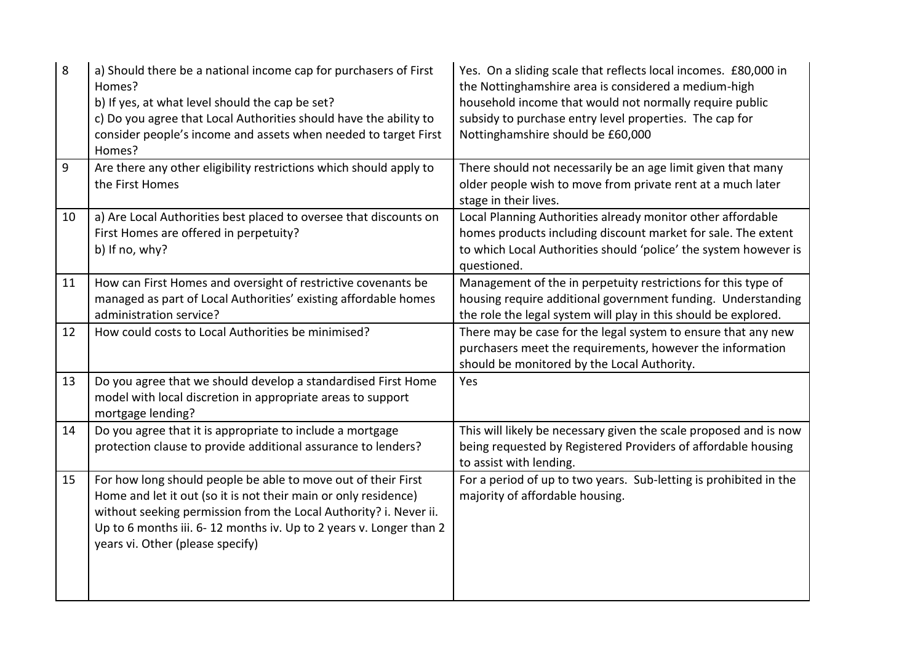| 8  | a) Should there be a national income cap for purchasers of First<br>Homes?<br>b) If yes, at what level should the cap be set?<br>c) Do you agree that Local Authorities should have the ability to<br>consider people's income and assets when needed to target First<br>Homes?                                 | Yes. On a sliding scale that reflects local incomes. £80,000 in<br>the Nottinghamshire area is considered a medium-high<br>household income that would not normally require public<br>subsidy to purchase entry level properties. The cap for<br>Nottinghamshire should be £60,000 |
|----|-----------------------------------------------------------------------------------------------------------------------------------------------------------------------------------------------------------------------------------------------------------------------------------------------------------------|------------------------------------------------------------------------------------------------------------------------------------------------------------------------------------------------------------------------------------------------------------------------------------|
| 9  | Are there any other eligibility restrictions which should apply to<br>the First Homes                                                                                                                                                                                                                           | There should not necessarily be an age limit given that many<br>older people wish to move from private rent at a much later<br>stage in their lives.                                                                                                                               |
| 10 | a) Are Local Authorities best placed to oversee that discounts on<br>First Homes are offered in perpetuity?<br>b) If no, why?                                                                                                                                                                                   | Local Planning Authorities already monitor other affordable<br>homes products including discount market for sale. The extent<br>to which Local Authorities should 'police' the system however is<br>questioned.                                                                    |
| 11 | How can First Homes and oversight of restrictive covenants be<br>managed as part of Local Authorities' existing affordable homes<br>administration service?                                                                                                                                                     | Management of the in perpetuity restrictions for this type of<br>housing require additional government funding. Understanding<br>the role the legal system will play in this should be explored.                                                                                   |
| 12 | How could costs to Local Authorities be minimised?                                                                                                                                                                                                                                                              | There may be case for the legal system to ensure that any new<br>purchasers meet the requirements, however the information<br>should be monitored by the Local Authority.                                                                                                          |
| 13 | Do you agree that we should develop a standardised First Home<br>model with local discretion in appropriate areas to support<br>mortgage lending?                                                                                                                                                               | Yes                                                                                                                                                                                                                                                                                |
| 14 | Do you agree that it is appropriate to include a mortgage<br>protection clause to provide additional assurance to lenders?                                                                                                                                                                                      | This will likely be necessary given the scale proposed and is now<br>being requested by Registered Providers of affordable housing<br>to assist with lending.                                                                                                                      |
| 15 | For how long should people be able to move out of their First<br>Home and let it out (so it is not their main or only residence)<br>without seeking permission from the Local Authority? i. Never ii.<br>Up to 6 months iii. 6-12 months iv. Up to 2 years v. Longer than 2<br>years vi. Other (please specify) | For a period of up to two years. Sub-letting is prohibited in the<br>majority of affordable housing.                                                                                                                                                                               |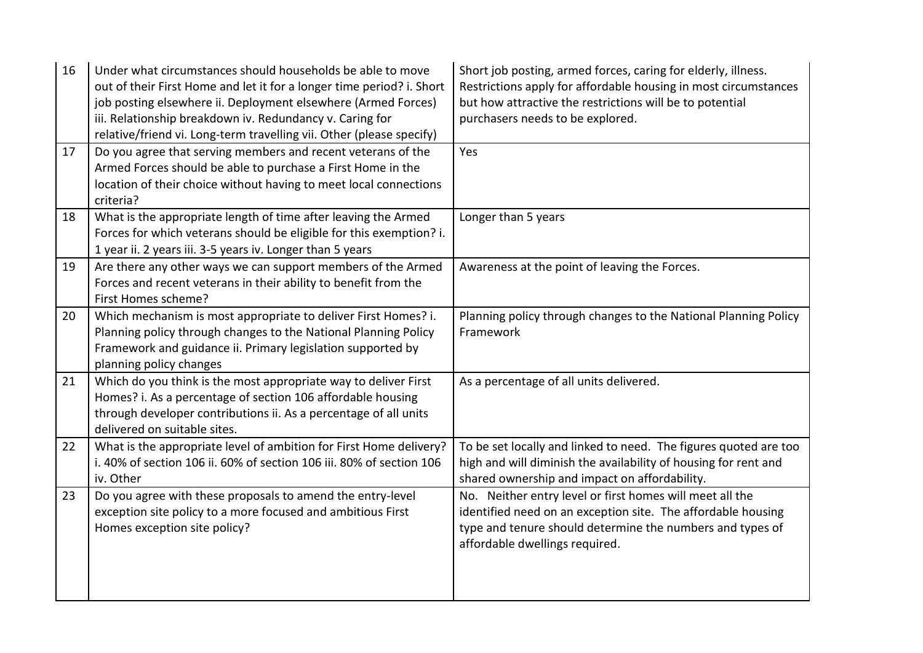| 16 | Under what circumstances should households be able to move<br>out of their First Home and let it for a longer time period? i. Short<br>job posting elsewhere ii. Deployment elsewhere (Armed Forces)<br>iii. Relationship breakdown iv. Redundancy v. Caring for<br>relative/friend vi. Long-term travelling vii. Other (please specify) | Short job posting, armed forces, caring for elderly, illness.<br>Restrictions apply for affordable housing in most circumstances<br>but how attractive the restrictions will be to potential<br>purchasers needs to be explored. |
|----|------------------------------------------------------------------------------------------------------------------------------------------------------------------------------------------------------------------------------------------------------------------------------------------------------------------------------------------|----------------------------------------------------------------------------------------------------------------------------------------------------------------------------------------------------------------------------------|
| 17 | Do you agree that serving members and recent veterans of the<br>Armed Forces should be able to purchase a First Home in the<br>location of their choice without having to meet local connections<br>criteria?                                                                                                                            | Yes                                                                                                                                                                                                                              |
| 18 | What is the appropriate length of time after leaving the Armed<br>Forces for which veterans should be eligible for this exemption? i.<br>1 year ii. 2 years iii. 3-5 years iv. Longer than 5 years                                                                                                                                       | Longer than 5 years                                                                                                                                                                                                              |
| 19 | Are there any other ways we can support members of the Armed<br>Forces and recent veterans in their ability to benefit from the<br>First Homes scheme?                                                                                                                                                                                   | Awareness at the point of leaving the Forces.                                                                                                                                                                                    |
| 20 | Which mechanism is most appropriate to deliver First Homes? i.<br>Planning policy through changes to the National Planning Policy<br>Framework and guidance ii. Primary legislation supported by<br>planning policy changes                                                                                                              | Planning policy through changes to the National Planning Policy<br>Framework                                                                                                                                                     |
| 21 | Which do you think is the most appropriate way to deliver First<br>Homes? i. As a percentage of section 106 affordable housing<br>through developer contributions ii. As a percentage of all units<br>delivered on suitable sites.                                                                                                       | As a percentage of all units delivered.                                                                                                                                                                                          |
| 22 | What is the appropriate level of ambition for First Home delivery?<br>i. 40% of section 106 ii. 60% of section 106 iii. 80% of section 106<br>iv. Other                                                                                                                                                                                  | To be set locally and linked to need. The figures quoted are too<br>high and will diminish the availability of housing for rent and<br>shared ownership and impact on affordability.                                             |
| 23 | Do you agree with these proposals to amend the entry-level<br>exception site policy to a more focused and ambitious First<br>Homes exception site policy?                                                                                                                                                                                | No. Neither entry level or first homes will meet all the<br>identified need on an exception site. The affordable housing<br>type and tenure should determine the numbers and types of<br>affordable dwellings required.          |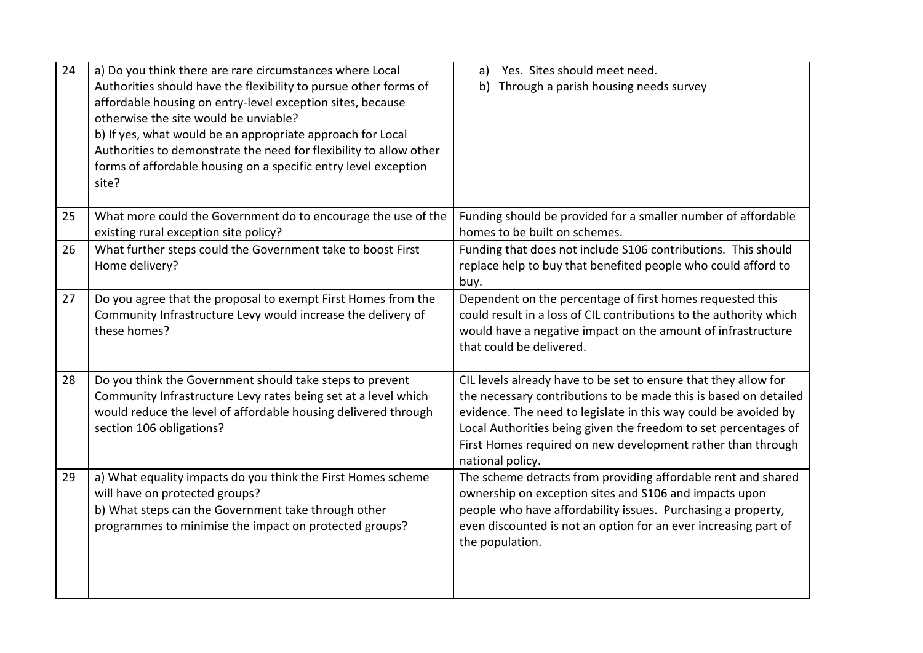| 24 | a) Do you think there are rare circumstances where Local<br>Authorities should have the flexibility to pursue other forms of<br>affordable housing on entry-level exception sites, because<br>otherwise the site would be unviable?<br>b) If yes, what would be an appropriate approach for Local<br>Authorities to demonstrate the need for flexibility to allow other<br>forms of affordable housing on a specific entry level exception<br>site? | Yes. Sites should meet need.<br>a)<br>Through a parish housing needs survey<br>b)                                                                                                                                                                                                                                                                            |
|----|-----------------------------------------------------------------------------------------------------------------------------------------------------------------------------------------------------------------------------------------------------------------------------------------------------------------------------------------------------------------------------------------------------------------------------------------------------|--------------------------------------------------------------------------------------------------------------------------------------------------------------------------------------------------------------------------------------------------------------------------------------------------------------------------------------------------------------|
| 25 | What more could the Government do to encourage the use of the<br>existing rural exception site policy?                                                                                                                                                                                                                                                                                                                                              | Funding should be provided for a smaller number of affordable<br>homes to be built on schemes.                                                                                                                                                                                                                                                               |
| 26 | What further steps could the Government take to boost First<br>Home delivery?                                                                                                                                                                                                                                                                                                                                                                       | Funding that does not include S106 contributions. This should<br>replace help to buy that benefited people who could afford to<br>buy.                                                                                                                                                                                                                       |
| 27 | Do you agree that the proposal to exempt First Homes from the<br>Community Infrastructure Levy would increase the delivery of<br>these homes?                                                                                                                                                                                                                                                                                                       | Dependent on the percentage of first homes requested this<br>could result in a loss of CIL contributions to the authority which<br>would have a negative impact on the amount of infrastructure<br>that could be delivered.                                                                                                                                  |
| 28 | Do you think the Government should take steps to prevent<br>Community Infrastructure Levy rates being set at a level which<br>would reduce the level of affordable housing delivered through<br>section 106 obligations?                                                                                                                                                                                                                            | CIL levels already have to be set to ensure that they allow for<br>the necessary contributions to be made this is based on detailed<br>evidence. The need to legislate in this way could be avoided by<br>Local Authorities being given the freedom to set percentages of<br>First Homes required on new development rather than through<br>national policy. |
| 29 | a) What equality impacts do you think the First Homes scheme<br>will have on protected groups?<br>b) What steps can the Government take through other<br>programmes to minimise the impact on protected groups?                                                                                                                                                                                                                                     | The scheme detracts from providing affordable rent and shared<br>ownership on exception sites and S106 and impacts upon<br>people who have affordability issues. Purchasing a property,<br>even discounted is not an option for an ever increasing part of<br>the population.                                                                                |